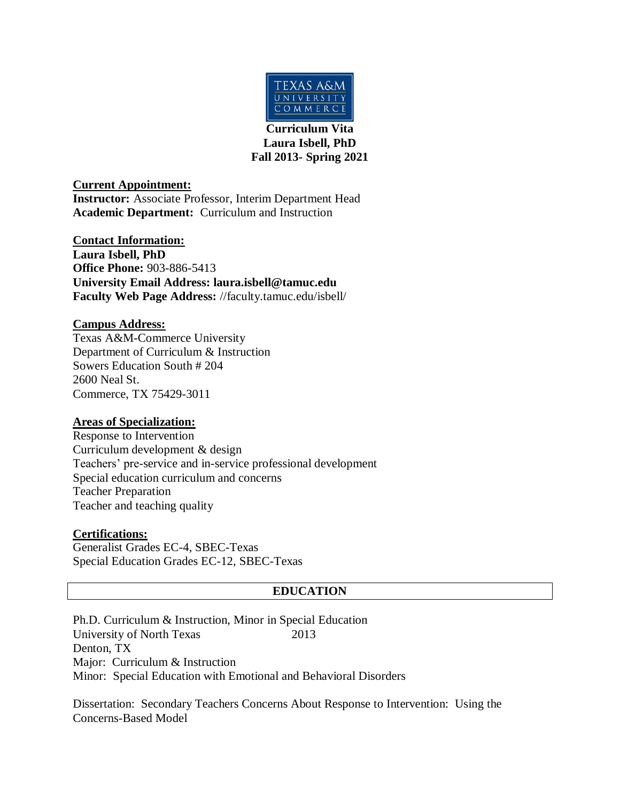

**Curriculum Vita Laura Isbell, PhD Fall 2013- Spring 2021**

**Current Appointment:**

**Instructor:** Associate Professor, Interim Department Head **Academic Department:** Curriculum and Instruction

**Contact Information: Laura Isbell, PhD Office Phone:** 903-886-5413 **University Email Address: laura.isbell@tamuc.edu Faculty Web Page Address:** //faculty.tamuc.edu/isbell/

### **Campus Address:**

Texas A&M-Commerce University Department of Curriculum & Instruction Sowers Education South # 204 2600 Neal St. Commerce, TX 75429-3011

# **Areas of Specialization:**

Response to Intervention Curriculum development & design Teachers' pre-service and in-service professional development Special education curriculum and concerns Teacher Preparation Teacher and teaching quality

# **Certifications:**

Generalist Grades EC-4, SBEC-Texas Special Education Grades EC-12, SBEC-Texas

### **EDUCATION**

Ph.D. Curriculum & Instruction, Minor in Special Education University of North Texas 2013 Denton, TX Major: Curriculum & Instruction Minor: Special Education with Emotional and Behavioral Disorders

Dissertation: Secondary Teachers Concerns About Response to Intervention: Using the Concerns-Based Model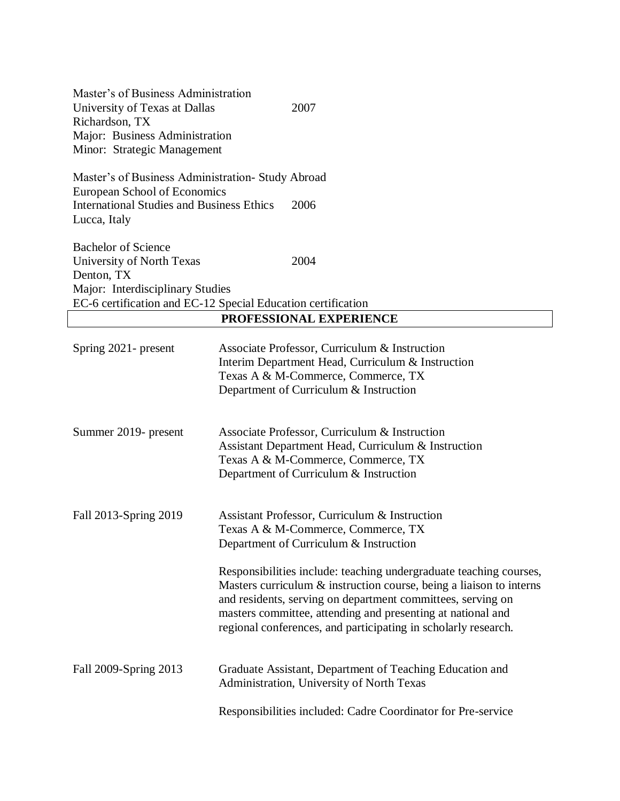| Master's of Business Administration<br>University of Texas at Dallas<br>Richardson, TX<br>Major: Business Administration<br>Minor: Strategic Management | 2007                                                                                                                                                                                                                                                                                                  |
|---------------------------------------------------------------------------------------------------------------------------------------------------------|-------------------------------------------------------------------------------------------------------------------------------------------------------------------------------------------------------------------------------------------------------------------------------------------------------|
| Master's of Business Administration- Study Abroad<br>European School of Economics<br><b>International Studies and Business Ethics</b><br>Lucca, Italy   | 2006                                                                                                                                                                                                                                                                                                  |
| <b>Bachelor of Science</b><br>University of North Texas<br>Denton, TX<br>Major: Interdisciplinary Studies                                               | 2004                                                                                                                                                                                                                                                                                                  |
|                                                                                                                                                         | EC-6 certification and EC-12 Special Education certification<br>PROFESSIONAL EXPERIENCE                                                                                                                                                                                                               |
| Spring 2021- present                                                                                                                                    | Associate Professor, Curriculum & Instruction<br>Interim Department Head, Curriculum & Instruction<br>Texas A & M-Commerce, Commerce, TX<br>Department of Curriculum & Instruction                                                                                                                    |
| Summer 2019- present                                                                                                                                    | Associate Professor, Curriculum & Instruction<br>Assistant Department Head, Curriculum & Instruction<br>Texas A & M-Commerce, Commerce, TX<br>Department of Curriculum & Instruction                                                                                                                  |
| Fall 2013-Spring 2019                                                                                                                                   | Assistant Professor, Curriculum & Instruction<br>Texas A & M-Commerce, Commerce, TX<br>Department of Curriculum & Instruction<br>Responsibilities include: teaching undergraduate teaching courses,<br>Masters curriculum $\&$ instruction course, being a liaison to interns                         |
| Fall 2009-Spring 2013                                                                                                                                   | and residents, serving on department committees, serving on<br>masters committee, attending and presenting at national and<br>regional conferences, and participating in scholarly research.<br>Graduate Assistant, Department of Teaching Education and<br>Administration, University of North Texas |
|                                                                                                                                                         | Responsibilities included: Cadre Coordinator for Pre-service                                                                                                                                                                                                                                          |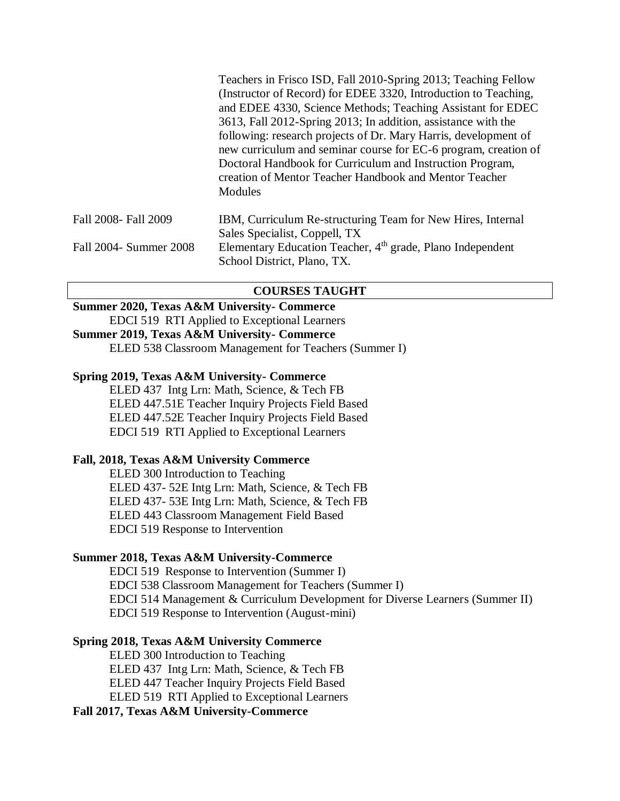|                        | Teachers in Frisco ISD, Fall 2010-Spring 2013; Teaching Fellow<br>(Instructor of Record) for EDEE 3320, Introduction to Teaching,<br>and EDEE 4330, Science Methods; Teaching Assistant for EDEC<br>3613, Fall 2012-Spring 2013; In addition, assistance with the<br>following: research projects of Dr. Mary Harris, development of<br>new curriculum and seminar course for EC-6 program, creation of<br>Doctoral Handbook for Curriculum and Instruction Program,<br>creation of Mentor Teacher Handbook and Mentor Teacher<br>Modules |
|------------------------|-------------------------------------------------------------------------------------------------------------------------------------------------------------------------------------------------------------------------------------------------------------------------------------------------------------------------------------------------------------------------------------------------------------------------------------------------------------------------------------------------------------------------------------------|
| Fall 2008- Fall 2009   | IBM, Curriculum Re-structuring Team for New Hires, Internal                                                                                                                                                                                                                                                                                                                                                                                                                                                                               |
|                        | Sales Specialist, Coppell, TX                                                                                                                                                                                                                                                                                                                                                                                                                                                                                                             |
| Fall 2004- Summer 2008 | Elementary Education Teacher, 4 <sup>th</sup> grade, Plano Independent                                                                                                                                                                                                                                                                                                                                                                                                                                                                    |
|                        | School District, Plano, TX.                                                                                                                                                                                                                                                                                                                                                                                                                                                                                                               |

#### **COURSES TAUGHT**

### **Summer 2020, Texas A&M University- Commerce**

EDCI 519 RTI Applied to Exceptional Learners

# **Summer 2019, Texas A&M University- Commerce**

ELED 538 Classroom Management for Teachers (Summer I)

#### **Spring 2019, Texas A&M University- Commerce**

ELED 437 Intg Lrn: Math, Science, & Tech FB ELED 447.51E Teacher Inquiry Projects Field Based ELED 447.52E Teacher Inquiry Projects Field Based EDCI 519 RTI Applied to Exceptional Learners

## **Fall, 2018, Texas A&M University Commerce**

ELED 300 Introduction to Teaching ELED 437- 52E Intg Lrn: Math, Science, & Tech FB ELED 437- 53E Intg Lrn: Math, Science, & Tech FB ELED 443 Classroom Management Field Based EDCI 519 Response to Intervention

#### **Summer 2018, Texas A&M University-Commerce**

EDCI 519 Response to Intervention (Summer I) EDCI 538 Classroom Management for Teachers (Summer I) EDCI 514 Management & Curriculum Development for Diverse Learners (Summer II) EDCI 519 Response to Intervention (August-mini)

#### **Spring 2018, Texas A&M University Commerce**

ELED 300 Introduction to Teaching ELED 437 Intg Lrn: Math, Science, & Tech FB ELED 447 Teacher Inquiry Projects Field Based ELED 519 RTI Applied to Exceptional Learners

#### **Fall 2017, Texas A&M University-Commerce**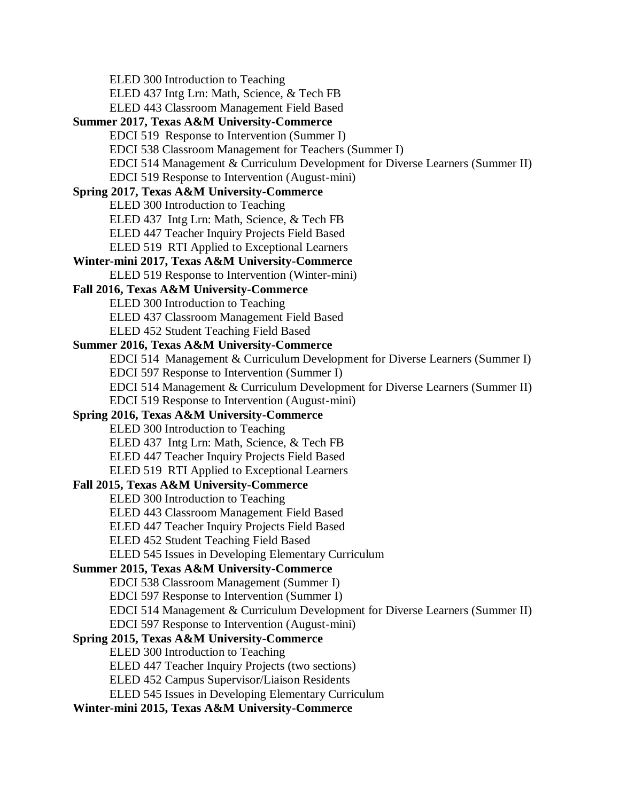ELED 300 Introduction to Teaching ELED 437 Intg Lrn: Math, Science, & Tech FB ELED 443 Classroom Management Field Based **Summer 2017, Texas A&M University-Commerce** EDCI 519 Response to Intervention (Summer I) EDCI 538 Classroom Management for Teachers (Summer I) EDCI 514 Management & Curriculum Development for Diverse Learners (Summer II) EDCI 519 Response to Intervention (August-mini) **Spring 2017, Texas A&M University-Commerce** ELED 300 Introduction to Teaching ELED 437 Intg Lrn: Math, Science, & Tech FB ELED 447 Teacher Inquiry Projects Field Based ELED 519 RTI Applied to Exceptional Learners **Winter-mini 2017, Texas A&M University-Commerce** ELED 519 Response to Intervention (Winter-mini) **Fall 2016, Texas A&M University-Commerce** ELED 300 Introduction to Teaching ELED 437 Classroom Management Field Based ELED 452 Student Teaching Field Based **Summer 2016, Texas A&M University-Commerce** EDCI 514 Management & Curriculum Development for Diverse Learners (Summer I) EDCI 597 Response to Intervention (Summer I) EDCI 514 Management & Curriculum Development for Diverse Learners (Summer II) EDCI 519 Response to Intervention (August-mini) **Spring 2016, Texas A&M University-Commerce** ELED 300 Introduction to Teaching ELED 437 Intg Lrn: Math, Science, & Tech FB ELED 447 Teacher Inquiry Projects Field Based ELED 519 RTI Applied to Exceptional Learners **Fall 2015, Texas A&M University-Commerce** ELED 300 Introduction to Teaching ELED 443 Classroom Management Field Based ELED 447 Teacher Inquiry Projects Field Based ELED 452 Student Teaching Field Based ELED 545 Issues in Developing Elementary Curriculum **Summer 2015, Texas A&M University-Commerce** EDCI 538 Classroom Management (Summer I) EDCI 597 Response to Intervention (Summer I) EDCI 514 Management & Curriculum Development for Diverse Learners (Summer II) EDCI 597 Response to Intervention (August-mini) **Spring 2015, Texas A&M University-Commerce** ELED 300 Introduction to Teaching ELED 447 Teacher Inquiry Projects (two sections) ELED 452 Campus Supervisor/Liaison Residents ELED 545 Issues in Developing Elementary Curriculum

# **Winter-mini 2015, Texas A&M University-Commerce**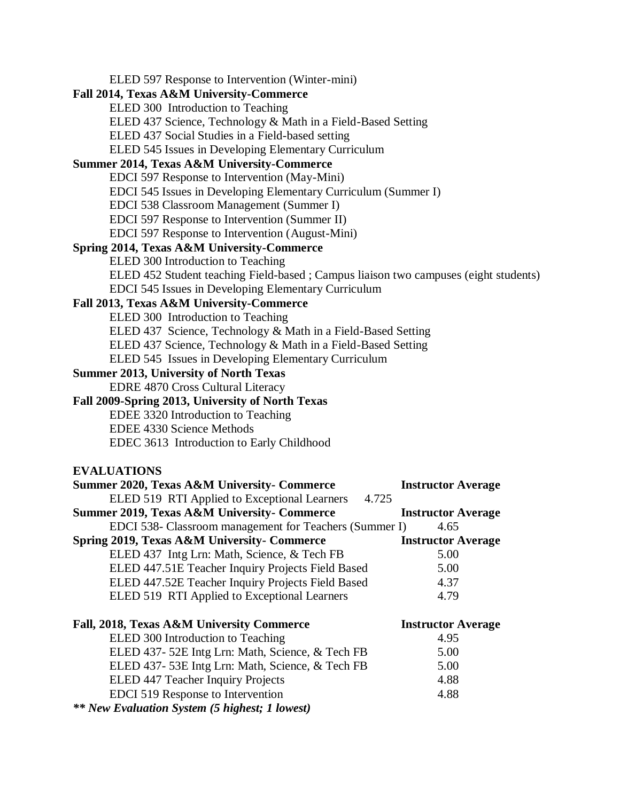| ELED 597 Response to Intervention (Winter-mini)                                     |                           |
|-------------------------------------------------------------------------------------|---------------------------|
| Fall 2014, Texas A&M University-Commerce                                            |                           |
| ELED 300 Introduction to Teaching                                                   |                           |
| ELED 437 Science, Technology & Math in a Field-Based Setting                        |                           |
| ELED 437 Social Studies in a Field-based setting                                    |                           |
| ELED 545 Issues in Developing Elementary Curriculum                                 |                           |
| <b>Summer 2014, Texas A&amp;M University-Commerce</b>                               |                           |
| EDCI 597 Response to Intervention (May-Mini)                                        |                           |
| EDCI 545 Issues in Developing Elementary Curriculum (Summer I)                      |                           |
| EDCI 538 Classroom Management (Summer I)                                            |                           |
| EDCI 597 Response to Intervention (Summer II)                                       |                           |
| EDCI 597 Response to Intervention (August-Mini)                                     |                           |
| Spring 2014, Texas A&M University-Commerce                                          |                           |
| ELED 300 Introduction to Teaching                                                   |                           |
| ELED 452 Student teaching Field-based; Campus liaison two campuses (eight students) |                           |
| EDCI 545 Issues in Developing Elementary Curriculum                                 |                           |
| Fall 2013, Texas A&M University-Commerce                                            |                           |
| ELED 300 Introduction to Teaching                                                   |                           |
| ELED 437 Science, Technology & Math in a Field-Based Setting                        |                           |
| ELED 437 Science, Technology & Math in a Field-Based Setting                        |                           |
| ELED 545 Issues in Developing Elementary Curriculum                                 |                           |
| <b>Summer 2013, University of North Texas</b>                                       |                           |
| <b>EDRE 4870 Cross Cultural Literacy</b>                                            |                           |
| Fall 2009-Spring 2013, University of North Texas                                    |                           |
| EDEE 3320 Introduction to Teaching                                                  |                           |
| <b>EDEE 4330 Science Methods</b>                                                    |                           |
| EDEC 3613 Introduction to Early Childhood                                           |                           |
| <b>EVALUATIONS</b>                                                                  |                           |
| <b>Summer 2020, Texas A&amp;M University- Commerce</b>                              | <b>Instructor Average</b> |
| ELED 519 RTI Applied to Exceptional Learners<br>4.725                               |                           |
| <b>Summer 2019, Texas A&amp;M University- Commerce</b>                              | <b>Instructor Average</b> |
| EDCI 538- Classroom management for Teachers (Summer I) 4.65                         |                           |
| Spring 2019, Texas A&M University- Commerce                                         | <b>Instructor Average</b> |
| ELED 437 Intg Lrn: Math, Science, & Tech FB                                         | 5.00                      |
| ELED 447.51E Teacher Inquiry Projects Field Based                                   | 5.00                      |
| ELED 447.52E Teacher Inquiry Projects Field Based                                   | 4.37                      |
| ELED 519 RTI Applied to Exceptional Learners                                        | 4.79                      |
| Fall, 2018, Texas A&M University Commerce                                           | <b>Instructor Average</b> |
| ELED 300 Introduction to Teaching                                                   | 4.95                      |
| ELED 437-52E Intg Lrn: Math, Science, & Tech FB                                     | 5.00                      |
| ELED 437-53E Intg Lrn: Math, Science, & Tech FB<br>5.00                             |                           |
| ELED 447 Teacher Inquiry Projects                                                   | 4.88                      |
| EDCI 519 Response to Intervention                                                   | 4.88                      |
| <b>** New Evaluation System (5 highest; 1 lowest)</b>                               |                           |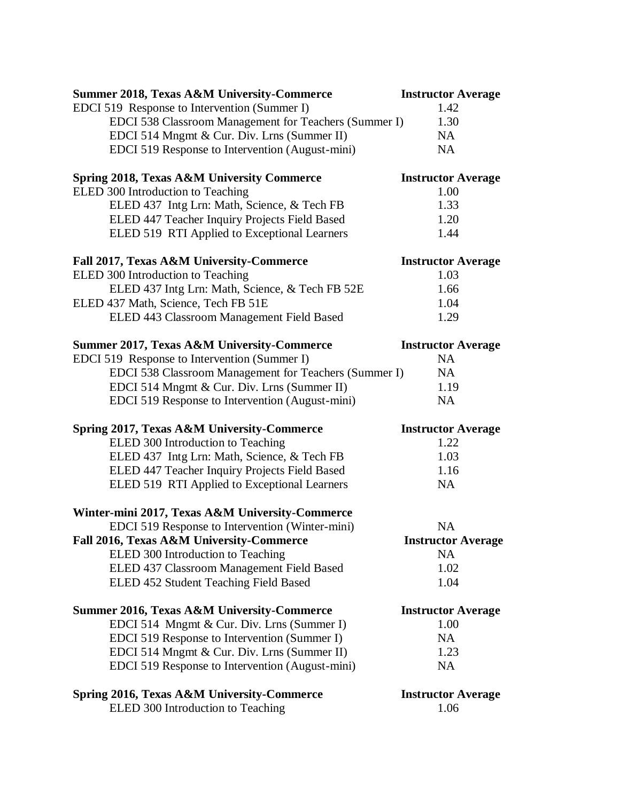| <b>Summer 2018, Texas A&amp;M University-Commerce</b>                                        | <b>Instructor Average</b>         |
|----------------------------------------------------------------------------------------------|-----------------------------------|
| EDCI 519 Response to Intervention (Summer I)                                                 | 1.42                              |
| EDCI 538 Classroom Management for Teachers (Summer I)                                        | 1.30                              |
| EDCI 514 Mngmt & Cur. Div. Lrns (Summer II)                                                  | <b>NA</b>                         |
| EDCI 519 Response to Intervention (August-mini)                                              | <b>NA</b>                         |
| <b>Spring 2018, Texas A&amp;M University Commerce</b>                                        | <b>Instructor Average</b><br>1.00 |
| ELED 300 Introduction to Teaching                                                            | 1.33                              |
| ELED 437 Intg Lrn: Math, Science, & Tech FB<br>ELED 447 Teacher Inquiry Projects Field Based | 1.20                              |
| ELED 519 RTI Applied to Exceptional Learners                                                 | 1.44                              |
| Fall 2017, Texas A&M University-Commerce                                                     | <b>Instructor Average</b>         |
| ELED 300 Introduction to Teaching                                                            | 1.03                              |
| ELED 437 Intg Lrn: Math, Science, & Tech FB 52E                                              | 1.66                              |
| ELED 437 Math, Science, Tech FB 51E                                                          | 1.04                              |
| ELED 443 Classroom Management Field Based                                                    | 1.29                              |
| <b>Summer 2017, Texas A&amp;M University-Commerce</b>                                        | <b>Instructor Average</b>         |
| EDCI 519 Response to Intervention (Summer I)                                                 | <b>NA</b>                         |
| EDCI 538 Classroom Management for Teachers (Summer I)                                        | <b>NA</b>                         |
| EDCI 514 Mngmt & Cur. Div. Lrns (Summer II)                                                  | 1.19                              |
| EDCI 519 Response to Intervention (August-mini)                                              | <b>NA</b>                         |
| Spring 2017, Texas A&M University-Commerce                                                   | <b>Instructor Average</b>         |
| ELED 300 Introduction to Teaching                                                            | 1.22                              |
| ELED 437 Intg Lrn: Math, Science, & Tech FB                                                  | 1.03                              |
| ELED 447 Teacher Inquiry Projects Field Based                                                | 1.16                              |
| ELED 519 RTI Applied to Exceptional Learners                                                 | <b>NA</b>                         |
| Winter-mini 2017, Texas A&M University-Commerce                                              |                                   |
| EDCI 519 Response to Intervention (Winter-mini)                                              | <b>NA</b>                         |
| Fall 2016, Texas A&M University-Commerce                                                     | <b>Instructor Average</b>         |
| ELED 300 Introduction to Teaching                                                            | <b>NA</b>                         |
| ELED 437 Classroom Management Field Based                                                    | 1.02                              |
| ELED 452 Student Teaching Field Based                                                        | 1.04                              |
| <b>Summer 2016, Texas A&amp;M University-Commerce</b>                                        | <b>Instructor Average</b>         |
| EDCI 514 Mngmt & Cur. Div. Lrns (Summer I)                                                   | 1.00                              |
| EDCI 519 Response to Intervention (Summer I)                                                 | NA                                |
| EDCI 514 Mngmt & Cur. Div. Lrns (Summer II)                                                  | 1.23                              |
| EDCI 519 Response to Intervention (August-mini)                                              | <b>NA</b>                         |
| <b>Spring 2016, Texas A&amp;M University-Commerce</b>                                        | <b>Instructor Average</b>         |
| ELED 300 Introduction to Teaching                                                            | 1.06                              |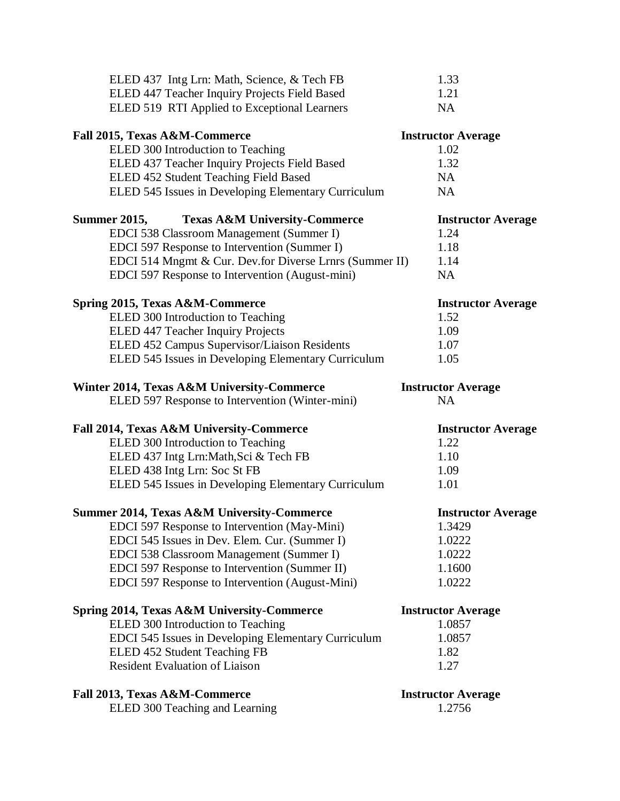| ELED 437 Intg Lrn: Math, Science, & Tech FB                     | 1.33                      |
|-----------------------------------------------------------------|---------------------------|
| ELED 447 Teacher Inquiry Projects Field Based                   | 1.21                      |
| ELED 519 RTI Applied to Exceptional Learners                    | <b>NA</b>                 |
| Fall 2015, Texas A&M-Commerce                                   | <b>Instructor Average</b> |
| ELED 300 Introduction to Teaching                               | 1.02                      |
| ELED 437 Teacher Inquiry Projects Field Based                   | 1.32                      |
| ELED 452 Student Teaching Field Based                           | <b>NA</b>                 |
| ELED 545 Issues in Developing Elementary Curriculum             | NA                        |
| <b>Summer 2015,</b><br><b>Texas A&amp;M University-Commerce</b> | <b>Instructor Average</b> |
| EDCI 538 Classroom Management (Summer I)                        | 1.24                      |
| EDCI 597 Response to Intervention (Summer I)                    | 1.18                      |
| EDCI 514 Mngmt & Cur. Dev.for Diverse Lrnrs (Summer II)         | 1.14                      |
| EDCI 597 Response to Intervention (August-mini)                 | NA                        |
| Spring 2015, Texas A&M-Commerce                                 | <b>Instructor Average</b> |
| ELED 300 Introduction to Teaching                               | 1.52                      |
| ELED 447 Teacher Inquiry Projects                               | 1.09                      |
| ELED 452 Campus Supervisor/Liaison Residents                    | 1.07                      |
| ELED 545 Issues in Developing Elementary Curriculum             | 1.05                      |
| Winter 2014, Texas A&M University-Commerce                      | <b>Instructor Average</b> |
| ELED 597 Response to Intervention (Winter-mini)                 | <b>NA</b>                 |
|                                                                 |                           |
| Fall 2014, Texas A&M University-Commerce                        | <b>Instructor Average</b> |
| ELED 300 Introduction to Teaching                               | 1.22                      |
| ELED 437 Intg Lrn:Math, Sci & Tech FB                           | 1.10                      |
| ELED 438 Intg Lrn: Soc St FB                                    | 1.09                      |
| ELED 545 Issues in Developing Elementary Curriculum             | 1.01                      |
| <b>Summer 2014, Texas A&amp;M University-Commerce</b>           | <b>Instructor Average</b> |
| EDCI 597 Response to Intervention (May-Mini)                    | 1.3429                    |
| EDCI 545 Issues in Dev. Elem. Cur. (Summer I)                   | 1.0222                    |
| EDCI 538 Classroom Management (Summer I)                        | 1.0222                    |
| EDCI 597 Response to Intervention (Summer II)                   | 1.1600                    |
| EDCI 597 Response to Intervention (August-Mini)                 | 1.0222                    |
| Spring 2014, Texas A&M University-Commerce                      | <b>Instructor Average</b> |
| ELED 300 Introduction to Teaching                               | 1.0857                    |
| EDCI 545 Issues in Developing Elementary Curriculum             | 1.0857                    |
| ELED 452 Student Teaching FB                                    | 1.82                      |
| <b>Resident Evaluation of Liaison</b>                           | 1.27                      |
| Fall 2013, Texas A&M-Commerce                                   | <b>Instructor Average</b> |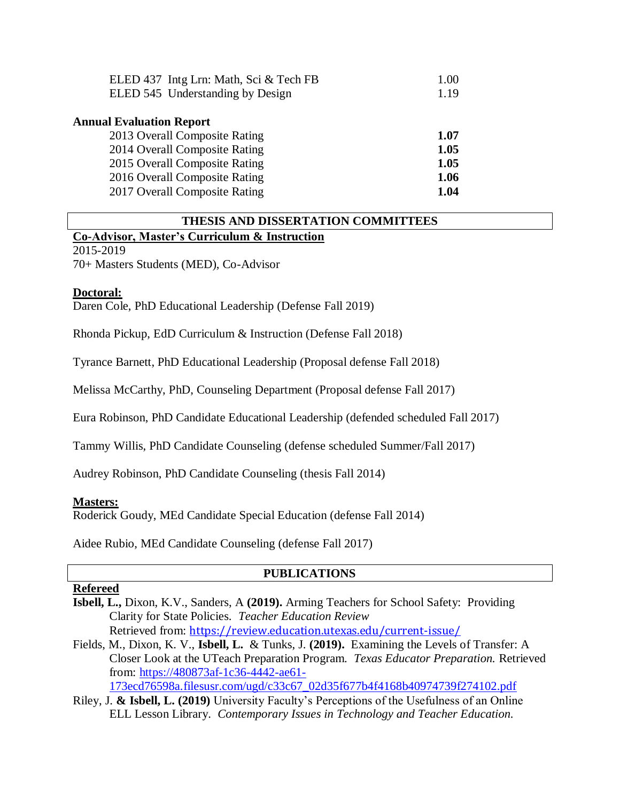| ELED 437 Intg Lrn: Math, Sci & Tech FB | 1.00 |
|----------------------------------------|------|
| ELED 545 Understanding by Design       | 1.19 |
|                                        |      |
| <b>Annual Evaluation Report</b>        |      |
| 2013 Overall Composite Rating          | 1.07 |
| 2014 Overall Composite Rating          | 1.05 |
| 2015 Overall Composite Rating          | 1.05 |
| 2016 Overall Composite Rating          | 1.06 |
| 2017 Overall Composite Rating          | 1.04 |
|                                        |      |

### **THESIS AND DISSERTATION COMMITTEES Co-Advisor, Master's Curriculum & Instruction**

2015-2019

70+ Masters Students (MED), Co-Advisor

#### **Doctoral:**

Daren Cole, PhD Educational Leadership (Defense Fall 2019)

Rhonda Pickup, EdD Curriculum & Instruction (Defense Fall 2018)

Tyrance Barnett, PhD Educational Leadership (Proposal defense Fall 2018)

Melissa McCarthy, PhD, Counseling Department (Proposal defense Fall 2017)

Eura Robinson, PhD Candidate Educational Leadership (defended scheduled Fall 2017)

Tammy Willis, PhD Candidate Counseling (defense scheduled Summer/Fall 2017)

Audrey Robinson, PhD Candidate Counseling (thesis Fall 2014)

#### **Masters:**

Roderick Goudy, MEd Candidate Special Education (defense Fall 2014)

Aidee Rubio, MEd Candidate Counseling (defense Fall 2017)

## **PUBLICATIONS**

#### **Refereed**

**Isbell, L.,** Dixon, K.V., Sanders, A **(2019).** Arming Teachers for School Safety: Providing Clarity for State Policies. *Teacher Education Review* Retrieved from: <https://review.education.utexas.edu/current-issue/>

Fields, M., Dixon, K. V., **Isbell, L.** & Tunks, J. **(2019).** Examining the Levels of Transfer: A Closer Look at the UTeach Preparation Program. *Texas Educator Preparation.* Retrieved from: [https://480873af-1c36-4442-ae61-](https://480873af-1c36-4442-ae61-173ecd76598a.filesusr.com/ugd/c33c67_02d35f677b4f4168b40974739f274102.pdf)

[173ecd76598a.filesusr.com/ugd/c33c67\\_02d35f677b4f4168b40974739f274102.pdf](https://480873af-1c36-4442-ae61-173ecd76598a.filesusr.com/ugd/c33c67_02d35f677b4f4168b40974739f274102.pdf)

Riley, J. **& Isbell, L. (2019)** University Faculty's Perceptions of the Usefulness of an Online ELL Lesson Library. *Contemporary Issues in Technology and Teacher Education.*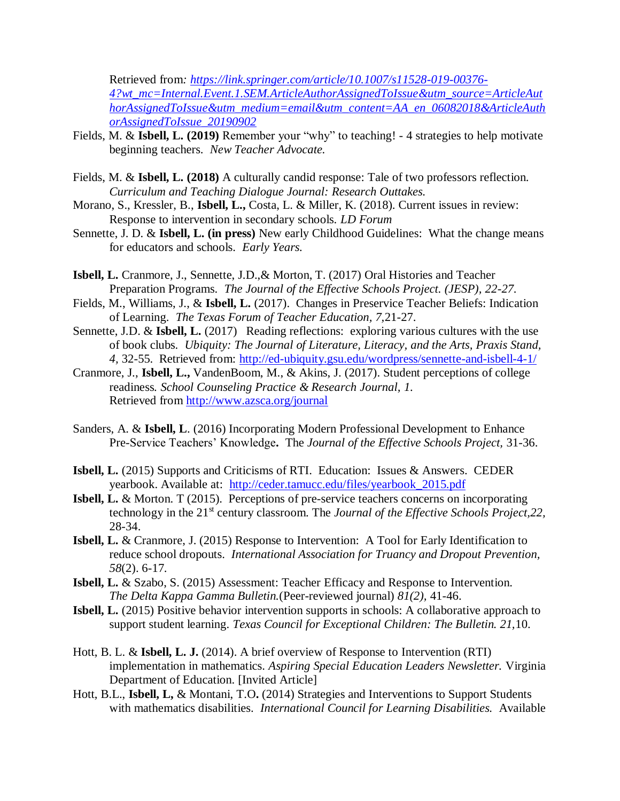Retrieved from*: [https://link.springer.com/article/10.1007/s11528-019-00376-](https://link.springer.com/article/10.1007/s11528-019-00376-4?wt_mc=Internal.Event.1.SEM.ArticleAuthorAssignedToIssue&utm_source=ArticleAuthorAssignedToIssue&utm_medium=email&utm_content=AA_en_06082018&ArticleAuthorAssignedToIssue_20190902) [4?wt\\_mc=Internal.Event.1.SEM.ArticleAuthorAssignedToIssue&utm\\_source=ArticleAut](https://link.springer.com/article/10.1007/s11528-019-00376-4?wt_mc=Internal.Event.1.SEM.ArticleAuthorAssignedToIssue&utm_source=ArticleAuthorAssignedToIssue&utm_medium=email&utm_content=AA_en_06082018&ArticleAuthorAssignedToIssue_20190902) [horAssignedToIssue&utm\\_medium=email&utm\\_content=AA\\_en\\_06082018&ArticleAuth](https://link.springer.com/article/10.1007/s11528-019-00376-4?wt_mc=Internal.Event.1.SEM.ArticleAuthorAssignedToIssue&utm_source=ArticleAuthorAssignedToIssue&utm_medium=email&utm_content=AA_en_06082018&ArticleAuthorAssignedToIssue_20190902) [orAssignedToIssue\\_20190902](https://link.springer.com/article/10.1007/s11528-019-00376-4?wt_mc=Internal.Event.1.SEM.ArticleAuthorAssignedToIssue&utm_source=ArticleAuthorAssignedToIssue&utm_medium=email&utm_content=AA_en_06082018&ArticleAuthorAssignedToIssue_20190902)*

- Fields, M. & **Isbell, L. (2019)** Remember your "why" to teaching! 4 strategies to help motivate beginning teachers. *New Teacher Advocate.*
- Fields, M. & **Isbell, L. (2018)** A culturally candid response: Tale of two professors reflection. *Curriculum and Teaching Dialogue Journal: Research Outtakes.*
- Morano, S., Kressler, B., **Isbell, L.,** Costa, L. & Miller, K. (2018). Current issues in review: Response to intervention in secondary schools. *LD Forum*
- Sennette, J. D. & **Isbell, L. (in press)** New early Childhood Guidelines: What the change means for educators and schools. *Early Years.*
- **Isbell, L.** Cranmore, J., Sennette, J.D.,& Morton, T. (2017) Oral Histories and Teacher Preparation Programs. *The Journal of the Effective Schools Project. (JESP), 22-27.*
- Fields, M., Williams, J., & **Isbell, L.** (2017). Changes in Preservice Teacher Beliefs: Indication of Learning. *The Texas Forum of Teacher Education, 7,*21-27.
- Sennette, J.D. & **Isbell, L.** (2017) Reading reflections: exploring various cultures with the use of book clubs. *Ubiquity: The Journal of Literature, Literacy, and the Arts, Praxis Stand, 4,* 32-55. Retrieved from:<http://ed-ubiquity.gsu.edu/wordpress/sennette-and-isbell-4-1/>
- Cranmore, J., **Isbell, L.,** VandenBoom, M., & Akins, J. (2017). Student perceptions of college readiness*. School Counseling Practice & Research Journal, 1.*  Retrieved from<http://www.azsca.org/journal>
- Sanders, A. & **Isbell, L**. (2016) Incorporating Modern Professional Development to Enhance Pre-Service Teachers' Knowledge**.** The *Journal of the Effective Schools Project,* 31-36.
- **Isbell, L.** (2015) Supports and Criticisms of RTI. Education: Issues & Answers. CEDER yearbook. Available at: [http://ceder.tamucc.edu/files/yearbook\\_2015.pdf](http://ceder.tamucc.edu/files/yearbook_2015.pdf)
- **Isbell, L.** & Morton. T (2015). Perceptions of pre-service teachers concerns on incorporating technology in the 21<sup>st</sup> century classroom. The *Journal of the Effective Schools Project, 22*, 28-34.
- **Isbell, L.** & Cranmore, J. (2015) Response to Intervention: A Tool for Early Identification to reduce school dropouts. *International Association for Truancy and Dropout Prevention, 58*(2). 6-17.
- **Isbell, L.** & Szabo, S. (2015) Assessment: Teacher Efficacy and Response to Intervention. *The Delta Kappa Gamma Bulletin.*(Peer-reviewed journal) *81(2),* 41-46.
- **Isbell, L.** (2015) Positive behavior intervention supports in schools: A collaborative approach to support student learning. *Texas Council for Exceptional Children: The Bulletin. 21,*10.
- Hott, B. L. & **Isbell, L. J.** (2014). A brief overview of Response to Intervention (RTI) implementation in mathematics. *Aspiring Special Education Leaders Newsletter.* Virginia Department of Education. [Invited Article]
- Hott, B.L., **Isbell, L,** & Montani, T.O**.** (2014) Strategies and Interventions to Support Students with mathematics disabilities. *International Council for Learning Disabilities.* Available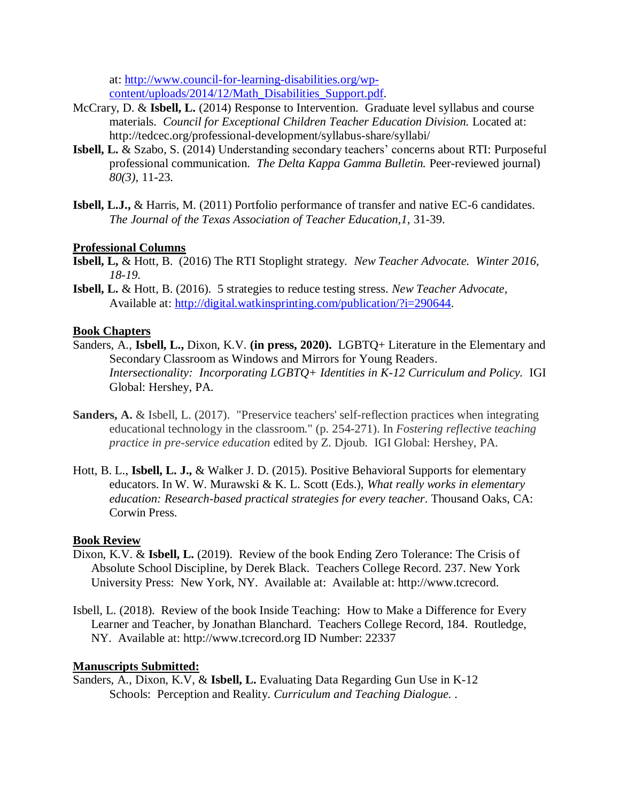at: [http://www.council-for-learning-disabilities.org/wp](http://www.council-for-learning-disabilities.org/wp-content/uploads/2014/12/Math_Disabilities_Support.pdf)[content/uploads/2014/12/Math\\_Disabilities\\_Support.pdf.](http://www.council-for-learning-disabilities.org/wp-content/uploads/2014/12/Math_Disabilities_Support.pdf)

- McCrary, D. & **Isbell, L.** (2014) Response to Intervention. Graduate level syllabus and course materials. *Council for Exceptional Children Teacher Education Division.* Located at: http://tedcec.org/professional-development/syllabus-share/syllabi/
- **Isbell, L.** & Szabo, S. (2014) Understanding secondary teachers' concerns about RTI: Purposeful professional communication. *The Delta Kappa Gamma Bulletin.* Peer-reviewed journal) *80(3),* 11-23.
- **Isbell, L.J.,** & Harris, M. (2011) Portfolio performance of transfer and native EC-6 candidates. *The Journal of the Texas Association of Teacher Education,1,* 31-39.

# **Professional Columns**

- **Isbell, L,** & Hott, B. (2016) The RTI Stoplight strategy. *New Teacher Advocate. Winter 2016, 18-19.*
- **Isbell, L.** & Hott, B. (2016). 5 strategies to reduce testing stress. *New Teacher Advocate,*  Available at:<http://digital.watkinsprinting.com/publication/?i=290644>*.*

### **Book Chapters**

- Sanders, A., **Isbell, L.,** Dixon, K.V. **(in press, 2020).** LGBTQ+ Literature in the Elementary and Secondary Classroom as Windows and Mirrors for Young Readers. *Intersectionality: Incorporating LGBTQ+ Identities in K-12 Curriculum and Policy.* IGI Global: Hershey, PA.
- **Sanders, A.** & Isbell, L. (2017). "Preservice teachers' self-reflection practices when integrating educational technology in the classroom." (p. 254-271). In *Fostering reflective teaching practice in pre-service education* edited by Z. Djoub. IGI Global: Hershey, PA.
- Hott, B. L., **Isbell, L. J.,** & Walker J. D. (2015). Positive Behavioral Supports for elementary educators. In W. W. Murawski & K. L. Scott (Eds.), *What really works in elementary education: Research-based practical strategies for every teacher*. Thousand Oaks, CA: Corwin Press.

### **Book Review**

- Dixon, K.V. & **Isbell, L.** (2019). Review of the book Ending Zero Tolerance: The Crisis of Absolute School Discipline, by Derek Black. Teachers College Record. 237. New York University Press: New York, NY. Available at: Available at: http://www.tcrecord.
- Isbell, L. (2018). Review of the book Inside Teaching: How to Make a Difference for Every Learner and Teacher, by Jonathan Blanchard. Teachers College Record, 184. Routledge, NY. Available at: http://www.tcrecord.org ID Number: 22337

### **Manuscripts Submitted:**

Sanders, A., Dixon, K.V, & **Isbell, L.** Evaluating Data Regarding Gun Use in K-12 Schools: Perception and Reality. *Curriculum and Teaching Dialogue. .*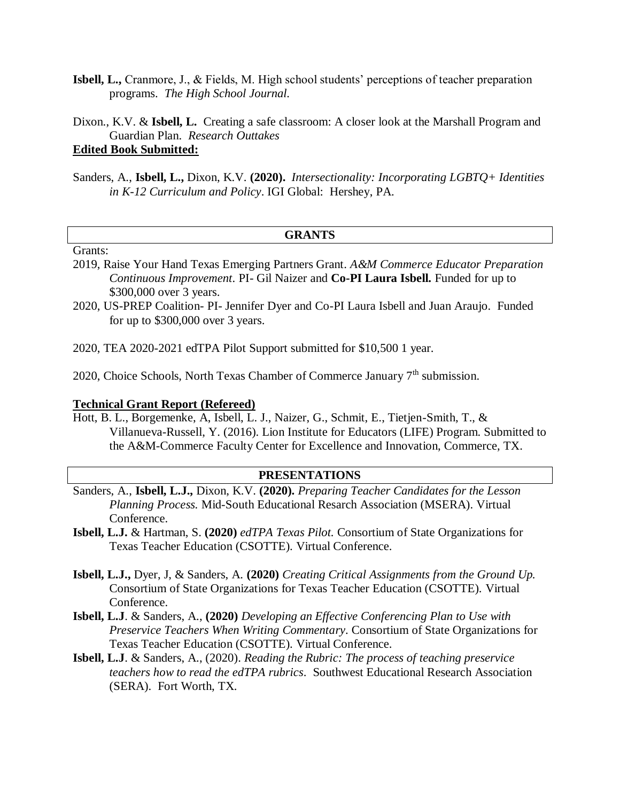**Isbell, L.,** Cranmore, J., & Fields, M. High school students' perceptions of teacher preparation programs. *The High School Journal.* 

Dixon., K.V. & **Isbell, L.** Creating a safe classroom: A closer look at the Marshall Program and Guardian Plan. *Research Outtakes*

# **Edited Book Submitted:**

Sanders, A., **Isbell, L.,** Dixon, K.V. **(2020).** *Intersectionality: Incorporating LGBTQ+ Identities in K-12 Curriculum and Policy*. IGI Global: Hershey, PA.

#### **GRANTS**

## Grants:

- 2019, Raise Your Hand Texas Emerging Partners Grant. *A&M Commerce Educator Preparation Continuous Improvement*. PI- Gil Naizer and **Co-PI Laura Isbell.** Funded for up to \$300,000 over 3 years.
- 2020, US-PREP Coalition- PI- Jennifer Dyer and Co-PI Laura Isbell and Juan Araujo. Funded for up to \$300,000 over 3 years.

2020, TEA 2020-2021 edTPA Pilot Support submitted for \$10,500 1 year.

2020, Choice Schools, North Texas Chamber of Commerce January  $7<sup>th</sup>$  submission.

#### **Technical Grant Report (Refereed)**

Hott, B. L., Borgemenke, A, Isbell, L. J., Naizer, G., Schmit, E., Tietjen-Smith, T., & Villanueva-Russell, Y. (2016). Lion Institute for Educators (LIFE) Program. Submitted to the A&M-Commerce Faculty Center for Excellence and Innovation, Commerce, TX.

#### **PRESENTATIONS**

- Sanders, A., **Isbell, L.J.,** Dixon, K.V. **(2020).** *Preparing Teacher Candidates for the Lesson Planning Process.* Mid-South Educational Resarch Association (MSERA). Virtual Conference.
- **Isbell, L.J.** & Hartman, S. **(2020)** *edTPA Texas Pilot.* Consortium of State Organizations for Texas Teacher Education (CSOTTE). Virtual Conference.
- **Isbell, L.J.,** Dyer, J, & Sanders, A. **(2020)** *Creating Critical Assignments from the Ground Up.* Consortium of State Organizations for Texas Teacher Education (CSOTTE). Virtual Conference.
- **Isbell, L.J**. & Sanders, A., **(2020)** *Developing an Effective Conferencing Plan to Use with Preservice Teachers When Writing Commentary*. Consortium of State Organizations for Texas Teacher Education (CSOTTE). Virtual Conference.
- **Isbell, L.J**. & Sanders, A., (2020). *Reading the Rubric: The process of teaching preservice teachers how to read the edTPA rubrics*. Southwest Educational Research Association (SERA). Fort Worth, TX.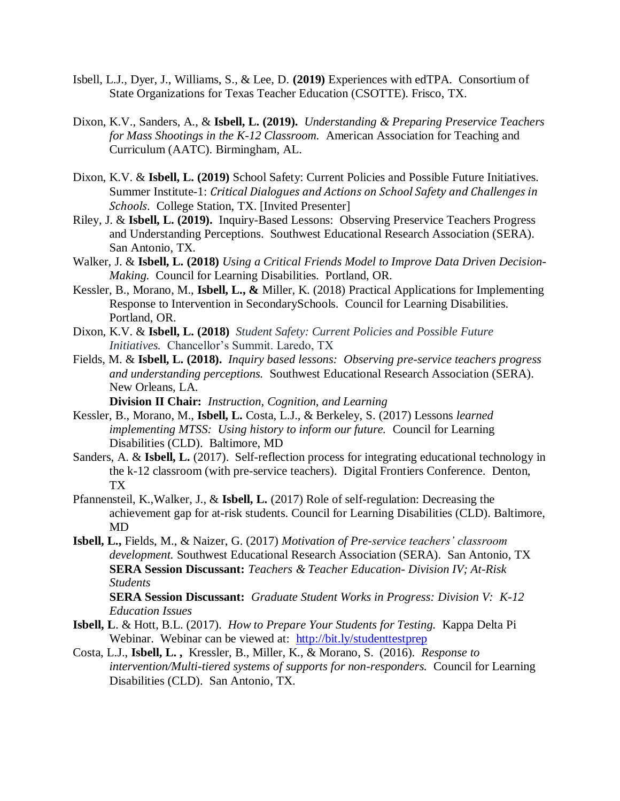- Isbell, L.J., Dyer, J., Williams, S., & Lee, D. **(2019)** Experiences with edTPA. Consortium of State Organizations for Texas Teacher Education (CSOTTE). Frisco, TX.
- Dixon, K.V., Sanders, A., & **Isbell, L. (2019).** *Understanding & Preparing Preservice Teachers for Mass Shootings in the K-12 Classroom.* American Association for Teaching and Curriculum (AATC). Birmingham, AL.
- Dixon, K.V. & **Isbell, L. (2019)** School Safety: Current Policies and Possible Future Initiatives. Summer Institute-1: *Critical Dialogues and Actions on School Safety and Challenges in Schools*. College Station, TX. [Invited Presenter]
- Riley, J. & **Isbell, L. (2019).** Inquiry-Based Lessons: Observing Preservice Teachers Progress and Understanding Perceptions. Southwest Educational Research Association (SERA). San Antonio, TX.
- Walker, J. & **Isbell, L. (2018)** *Using a Critical Friends Model to Improve Data Driven Decision-Making.* Council for Learning Disabilities. Portland, OR.
- Kessler, B., Morano, M., **Isbell, L., &** Miller, K. (2018) Practical Applications for Implementing Response to Intervention in SecondarySchools. Council for Learning Disabilities. Portland, OR.
- Dixon, K.V. & **Isbell, L. (2018)** *Student Safety: Current Policies and Possible Future Initiatives.* Chancellor's Summit. Laredo, TX
- Fields, M. & **Isbell, L. (2018).** *Inquiry based lessons: Observing pre-service teachers progress and understanding perceptions.* Southwest Educational Research Association (SERA). New Orleans, LA.

**Division II Chair:** *Instruction, Cognition, and Learning* 

- Kessler, B., Morano, M., **Isbell, L.** Costa, L.J., & Berkeley, S. (2017) Lessons *learned implementing MTSS: Using history to inform our future.* Council for Learning Disabilities (CLD). Baltimore, MD
- Sanders, A. & **Isbell, L.** (2017). Self-reflection process for integrating educational technology in the k-12 classroom (with pre-service teachers). Digital Frontiers Conference. Denton, TX
- Pfannensteil, K.,Walker, J., & **Isbell, L.** (2017) Role of self-regulation: Decreasing the achievement gap for at-risk students. Council for Learning Disabilities (CLD). Baltimore, MD
- **Isbell, L.,** Fields, M., & Naizer, G. (2017) *Motivation of Pre-service teachers' classroom development.* Southwest Educational Research Association (SERA). San Antonio, TX **SERA Session Discussant:** *Teachers & Teacher Education- Division IV; At-Risk Students*

**SERA Session Discussant:** *Graduate Student Works in Progress: Division V: K-12 Education Issues* 

- **Isbell, L**. & Hott, B.L. (2017). *How to Prepare Your Students for Testing.*Kappa Delta Pi Webinar. Webinar can be viewed at: [http://bit.ly/studenttestprep](https://outlook.tamuc.edu/owa/redir.aspx?SURL=cScX8Y7Fhy9Xl7d1rJDW92f2ddW-1W2P5m8an8AAKW6h2AjDWkHUCGgAdAB0AHAAOgAvAC8AYgBpAHQALgBsAHkALwBzAHQAdQBkAGUAbgB0AHQAZQBzAHQAcAByAGUAcAA.&URL=http%3a%2f%2fbit.ly%2fstudenttestprep)
- Costa, L.J., **Isbell, L. ,** Kressler, B., Miller, K., & Morano, S. (2016). *Response to intervention/Multi-tiered systems of supports for non-responders.* Council for Learning Disabilities (CLD). San Antonio, TX.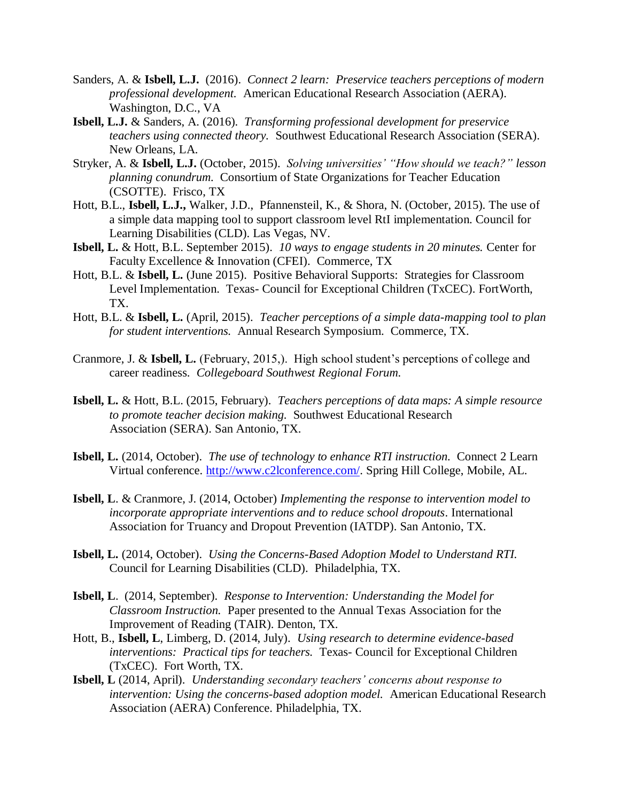- Sanders, A. & **Isbell, L.J.** (2016). *Connect 2 learn: Preservice teachers perceptions of modern professional development.* American Educational Research Association (AERA). Washington, D.C., VA
- **Isbell, L.J.** & Sanders, A. (2016). *Transforming professional development for preservice teachers using connected theory.* Southwest Educational Research Association (SERA). New Orleans, LA.
- Stryker, A. & **Isbell, L.J.** (October, 2015). *Solving universities' "How should we teach?" lesson planning conundrum.* Consortium of State Organizations for Teacher Education (CSOTTE). Frisco, TX
- Hott, B.L., **Isbell, L.J.,** Walker, J.D., Pfannensteil, K., & Shora, N. (October, 2015). The use of a simple data mapping tool to support classroom level RtI implementation. Council for Learning Disabilities (CLD). Las Vegas, NV.
- **Isbell, L.** & Hott, B.L. September 2015). *10 ways to engage students in 20 minutes.* Center for Faculty Excellence & Innovation (CFEI). Commerce, TX
- Hott, B.L. & **Isbell, L.** (June 2015). Positive Behavioral Supports: Strategies for Classroom Level Implementation. Texas- Council for Exceptional Children (TxCEC). FortWorth, TX.
- Hott, B.L. & **Isbell, L.** (April, 2015). *Teacher perceptions of a simple data-mapping tool to plan for student interventions.* Annual Research Symposium. Commerce, TX.
- Cranmore, J. & **Isbell, L.** (February, 2015,). High school student's perceptions of college and career readiness. *Collegeboard Southwest Regional Forum.*
- **Isbell, L.** & Hott, B.L. (2015, February). *Teachers perceptions of data maps: A simple resource to promote teacher decision making.* Southwest Educational Research Association (SERA). San Antonio, TX.
- **Isbell, L.** (2014, October). *The use of technology to enhance RTI instruction.* Connect 2 Learn Virtual conference. [http://www.c2lconference.com/.](http://www.c2lconference.com/) Spring Hill College, Mobile, AL.
- **Isbell, L**. & Cranmore, J. (2014, October) *Implementing the response to intervention model to incorporate appropriate interventions and to reduce school dropouts*. International Association for Truancy and Dropout Prevention (IATDP). San Antonio, TX.
- **Isbell, L.** (2014, October). *Using the Concerns-Based Adoption Model to Understand RTI.* Council for Learning Disabilities (CLD). Philadelphia, TX.
- **Isbell, L**. (2014, September). *Response to Intervention: Understanding the Model for Classroom Instruction.* Paper presented to the Annual Texas Association for the Improvement of Reading (TAIR). Denton, TX.
- Hott, B., **Isbell, L**, Limberg, D. (2014, July). *Using research to determine evidence-based interventions: Practical tips for teachers.* Texas- Council for Exceptional Children (TxCEC). Fort Worth, TX.
- **Isbell, L** (2014, April). *Understanding secondary teachers' concerns about response to intervention: Using the concerns-based adoption model.* American Educational Research Association (AERA) Conference. Philadelphia, TX.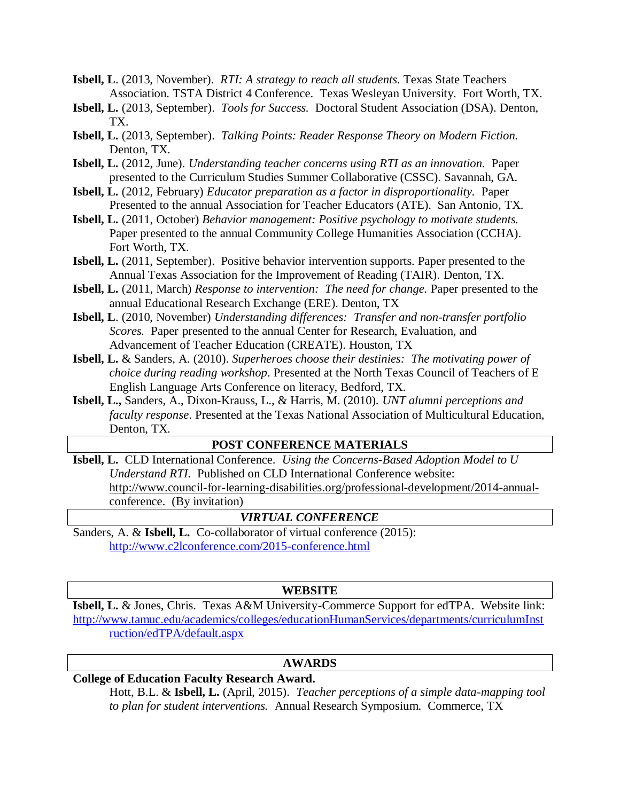**Isbell, L**. (2013, November). *RTI: A strategy to reach all students.* Texas State Teachers Association. TSTA District 4 Conference. Texas Wesleyan University. Fort Worth, TX.

- **Isbell, L.** (2013, September). *Tools for Success.* Doctoral Student Association (DSA). Denton, TX.
- **Isbell, L.** (2013, September). *Talking Points: Reader Response Theory on Modern Fiction.*  Denton, TX.
- **Isbell, L.** (2012, June). *Understanding teacher concerns using RTI as an innovation.* Paper presented to the Curriculum Studies Summer Collaborative (CSSC). Savannah, GA.
- **Isbell, L.** (2012, February) *Educator preparation as a factor in disproportionality.* Paper Presented to the annual Association for Teacher Educators (ATE). San Antonio, TX.
- **Isbell, L.** (2011, October) *Behavior management: Positive psychology to motivate students.*  Paper presented to the annual Community College Humanities Association (CCHA). Fort Worth, TX.
- **Isbell, L.** (2011, September). Positive behavior intervention supports. Paper presented to the Annual Texas Association for the Improvement of Reading (TAIR). Denton, TX.
- **Isbell, L.** (2011, March) *Response to intervention: The need for change.* Paper presented to the annual Educational Research Exchange (ERE). Denton, TX
- **Isbell, L**. (2010, November) *Understanding differences: Transfer and non-transfer portfolio Scores.* Paper presented to the annual Center for Research, Evaluation, and Advancement of Teacher Education (CREATE). Houston, TX
- **Isbell, L.** & Sanders, A. (2010). *Superheroes choose their destinies: The motivating power of choice during reading workshop*. Presented at the North Texas Council of Teachers of E English Language Arts Conference on literacy, Bedford, TX.
- **Isbell, L.,** Sanders, A., Dixon-Krauss, L., & Harris, M. (2010). *UNT alumni perceptions and faculty response*. Presented at the Texas National Association of Multicultural Education, Denton, TX.

### **POST CONFERENCE MATERIALS**

**Isbell, L.** CLD International Conference. *Using the Concerns-Based Adoption Model to U Understand RTI.* Published on CLD International Conference website: [http://www.council-for-learning-disabilities.org/professional-development/2014-annual](file:///E:/Curriculum%20Vita_Isbell/%09http:/www.council-for-learning-disabilities.org/professional-development/2014-annual-%09conference)[conference.](file:///E:/Curriculum%20Vita_Isbell/%09http:/www.council-for-learning-disabilities.org/professional-development/2014-annual-%09conference) (By invitation)

#### *VIRTUAL CONFERENCE*

Sanders, A. & **Isbell, L.** Co-collaborator of virtual conference (2015): <http://www.c2lconference.com/2015-conference.html>

#### **WEBSITE**

**Isbell, L.** & Jones, Chris. Texas A&M University-Commerce Support for edTPA. Website link: [http://www.tamuc.edu/academics/colleges/educationHumanServices/departments/curriculumInst](http://www.tamuc.edu/academics/colleges/educationHumanServices/departments/curriculumInstruction/edTPA/default.aspx) [ruction/edTPA/default.aspx](http://www.tamuc.edu/academics/colleges/educationHumanServices/departments/curriculumInstruction/edTPA/default.aspx)

#### **AWARDS**

# **College of Education Faculty Research Award.**

Hott, B.L. & **Isbell, L.** (April, 2015). *Teacher perceptions of a simple data-mapping tool to plan for student interventions.* Annual Research Symposium. Commerce, TX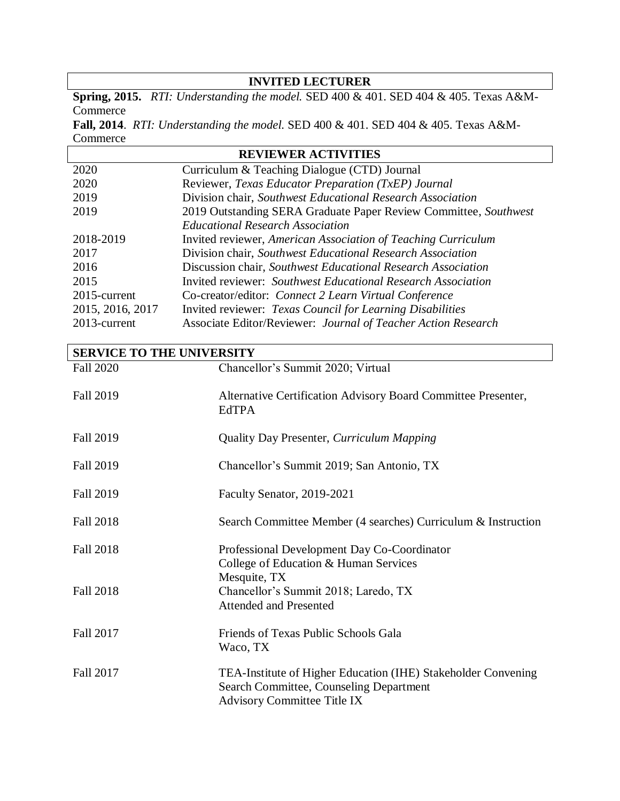## **INVITED LECTURER**

**Spring, 2015.** *RTI: Understanding the model.* SED 400 & 401. SED 404 & 405. Texas A&M-**Commerce** 

**Fall, 2014**. *RTI: Understanding the model.* SED 400 & 401. SED 404 & 405. Texas A&M-**Commerce** 

| <b>REVIEWER ACTIVITIES</b>                                          |  |  |
|---------------------------------------------------------------------|--|--|
| Curriculum & Teaching Dialogue (CTD) Journal                        |  |  |
| Reviewer, Texas Educator Preparation (TxEP) Journal                 |  |  |
| Division chair, Southwest Educational Research Association          |  |  |
| 2019 Outstanding SERA Graduate Paper Review Committee, Southwest    |  |  |
| <b>Educational Research Association</b>                             |  |  |
| Invited reviewer, American Association of Teaching Curriculum       |  |  |
| Division chair, Southwest Educational Research Association          |  |  |
| Discussion chair, Southwest Educational Research Association        |  |  |
| <b>Invited reviewer:</b> Southwest Educational Research Association |  |  |
| Co-creator/editor: Connect 2 Learn Virtual Conference               |  |  |
| Invited reviewer: Texas Council for Learning Disabilities           |  |  |
| Associate Editor/Reviewer: Journal of Teacher Action Research       |  |  |
|                                                                     |  |  |

**SERVICE TO THE UNIVERSITY** Fall 2020 Chancellor's Summit 2020; Virtual Fall 2019 Alternative Certification Advisory Board Committee Presenter, EdTPA Fall 2019 Quality Day Presenter, *Curriculum Mapping* Fall 2019 Chancellor's Summit 2019; San Antonio, TX Fall 2019 Faculty Senator, 2019-2021 Fall 2018 Search Committee Member (4 searches) Curriculum & Instruction Fall 2018 Professional Development Day Co-Coordinator College of Education & Human Services Mesquite, TX Fall 2018 Chancellor's Summit 2018; Laredo, TX Attended and Presented Fall 2017 **Friends of Texas Public Schools Gala** Waco, TX Fall 2017 TEA-Institute of Higher Education (IHE) Stakeholder Convening Search Committee, Counseling Department Advisory Committee Title IX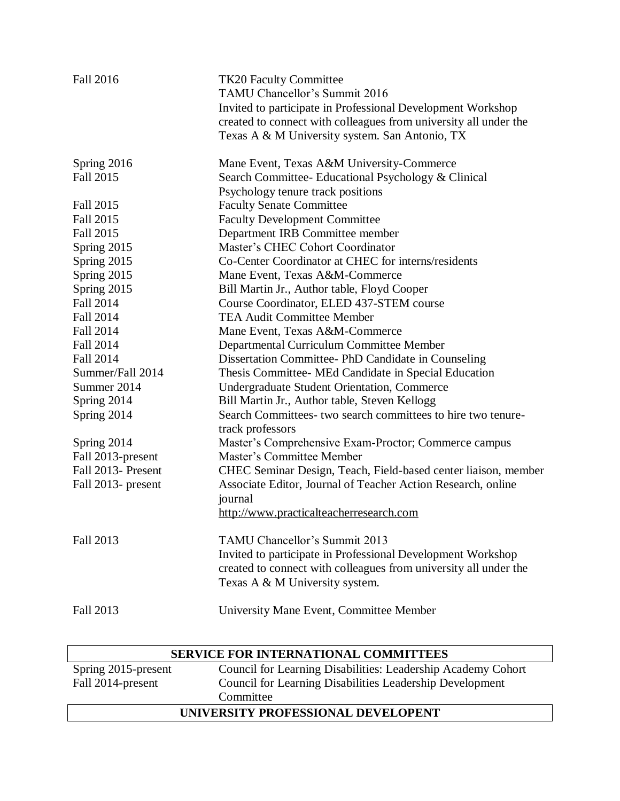| <b>Fall 2016</b>                     | <b>TK20 Faculty Committee</b><br>TAMU Chancellor's Summit 2016<br>Invited to participate in Professional Development Workshop<br>created to connect with colleagues from university all under the<br>Texas A & M University system. San Antonio, TX |
|--------------------------------------|-----------------------------------------------------------------------------------------------------------------------------------------------------------------------------------------------------------------------------------------------------|
| Spring 2016                          | Mane Event, Texas A&M University-Commerce                                                                                                                                                                                                           |
| <b>Fall 2015</b>                     | Search Committee- Educational Psychology & Clinical                                                                                                                                                                                                 |
|                                      | Psychology tenure track positions                                                                                                                                                                                                                   |
| Fall 2015                            | <b>Faculty Senate Committee</b>                                                                                                                                                                                                                     |
| <b>Fall 2015</b>                     | <b>Faculty Development Committee</b>                                                                                                                                                                                                                |
| Fall 2015                            | Department IRB Committee member                                                                                                                                                                                                                     |
| Spring 2015                          | Master's CHEC Cohort Coordinator                                                                                                                                                                                                                    |
| Spring 2015                          | Co-Center Coordinator at CHEC for interns/residents                                                                                                                                                                                                 |
| Spring 2015                          | Mane Event, Texas A&M-Commerce                                                                                                                                                                                                                      |
| Spring 2015                          | Bill Martin Jr., Author table, Floyd Cooper                                                                                                                                                                                                         |
| <b>Fall 2014</b><br><b>Fall 2014</b> | Course Coordinator, ELED 437-STEM course<br><b>TEA Audit Committee Member</b>                                                                                                                                                                       |
| <b>Fall 2014</b>                     |                                                                                                                                                                                                                                                     |
| <b>Fall 2014</b>                     | Mane Event, Texas A&M-Commerce                                                                                                                                                                                                                      |
| <b>Fall 2014</b>                     | Departmental Curriculum Committee Member<br>Dissertation Committee-PhD Candidate in Counseling                                                                                                                                                      |
| Summer/Fall 2014                     | Thesis Committee- MEd Candidate in Special Education                                                                                                                                                                                                |
| Summer 2014                          | Undergraduate Student Orientation, Commerce                                                                                                                                                                                                         |
| Spring 2014                          | Bill Martin Jr., Author table, Steven Kellogg                                                                                                                                                                                                       |
| Spring 2014                          | Search Committees- two search committees to hire two tenure-                                                                                                                                                                                        |
|                                      | track professors                                                                                                                                                                                                                                    |
| Spring 2014                          | Master's Comprehensive Exam-Proctor; Commerce campus                                                                                                                                                                                                |
| Fall 2013-present                    | Master's Committee Member                                                                                                                                                                                                                           |
| Fall 2013- Present                   | CHEC Seminar Design, Teach, Field-based center liaison, member                                                                                                                                                                                      |
| Fall 2013- present                   | Associate Editor, Journal of Teacher Action Research, online                                                                                                                                                                                        |
|                                      | journal                                                                                                                                                                                                                                             |
|                                      | http://www.practicalteacherresearch.com                                                                                                                                                                                                             |
|                                      |                                                                                                                                                                                                                                                     |
| Fall 2013                            | TAMU Chancellor's Summit 2013                                                                                                                                                                                                                       |
|                                      | Invited to participate in Professional Development Workshop                                                                                                                                                                                         |
|                                      | created to connect with colleagues from university all under the                                                                                                                                                                                    |
|                                      | Texas A & M University system.                                                                                                                                                                                                                      |
|                                      |                                                                                                                                                                                                                                                     |
| Fall 2013                            | University Mane Event, Committee Member                                                                                                                                                                                                             |

| <b>SERVICE FOR INTERNATIONAL COMMITTEES</b> |                                                              |  |
|---------------------------------------------|--------------------------------------------------------------|--|
| Spring 2015-present                         | Council for Learning Disabilities: Leadership Academy Cohort |  |
| Fall 2014-present                           | Council for Learning Disabilities Leadership Development     |  |
|                                             | Committee                                                    |  |
| UNIVERSITY PROFESSIONAL DEVELOPENT          |                                                              |  |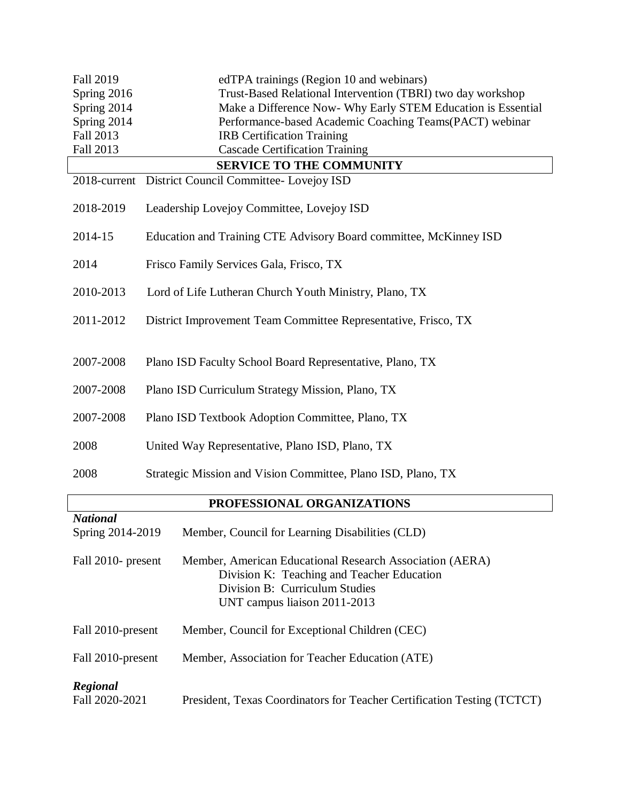| <b>Fall 2019</b><br>Spring 2016<br>Spring 2014<br>Spring 2014<br>Fall 2013                                                                                     | edTPA trainings (Region 10 and webinars)<br>Trust-Based Relational Intervention (TBRI) two day workshop<br>Make a Difference Now- Why Early STEM Education is Essential<br>Performance-based Academic Coaching Teams(PACT) webinar<br><b>IRB</b> Certification Training |  |
|----------------------------------------------------------------------------------------------------------------------------------------------------------------|-------------------------------------------------------------------------------------------------------------------------------------------------------------------------------------------------------------------------------------------------------------------------|--|
| Fall 2013                                                                                                                                                      | <b>Cascade Certification Training</b>                                                                                                                                                                                                                                   |  |
|                                                                                                                                                                | <b>SERVICE TO THE COMMUNITY</b>                                                                                                                                                                                                                                         |  |
| 2018-current                                                                                                                                                   | District Council Committee- Lovejoy ISD                                                                                                                                                                                                                                 |  |
| 2018-2019                                                                                                                                                      | Leadership Lovejoy Committee, Lovejoy ISD                                                                                                                                                                                                                               |  |
| 2014-15                                                                                                                                                        | Education and Training CTE Advisory Board committee, McKinney ISD                                                                                                                                                                                                       |  |
| 2014                                                                                                                                                           | Frisco Family Services Gala, Frisco, TX                                                                                                                                                                                                                                 |  |
| 2010-2013                                                                                                                                                      | Lord of Life Lutheran Church Youth Ministry, Plano, TX                                                                                                                                                                                                                  |  |
| 2011-2012                                                                                                                                                      | District Improvement Team Committee Representative, Frisco, TX                                                                                                                                                                                                          |  |
| 2007-2008                                                                                                                                                      | Plano ISD Faculty School Board Representative, Plano, TX                                                                                                                                                                                                                |  |
| 2007-2008                                                                                                                                                      | Plano ISD Curriculum Strategy Mission, Plano, TX                                                                                                                                                                                                                        |  |
| 2007-2008                                                                                                                                                      | Plano ISD Textbook Adoption Committee, Plano, TX                                                                                                                                                                                                                        |  |
| 2008                                                                                                                                                           | United Way Representative, Plano ISD, Plano, TX                                                                                                                                                                                                                         |  |
| 2008                                                                                                                                                           | Strategic Mission and Vision Committee, Plano ISD, Plano, TX                                                                                                                                                                                                            |  |
| PROFESSIONAL ORGANIZATIONS                                                                                                                                     |                                                                                                                                                                                                                                                                         |  |
| <b>National</b><br>Spring 2014-2019<br>Member, Council for Learning Disabilities (CLD)                                                                         |                                                                                                                                                                                                                                                                         |  |
| Fall 2010- present<br>Member, American Educational Research Association (AERA)<br>Division K: Teaching and Teacher Education<br>Division B: Curriculum Studies |                                                                                                                                                                                                                                                                         |  |

| Fall 2010-present          | Member, Council for Exceptional Children (CEC)                          |
|----------------------------|-------------------------------------------------------------------------|
| Fall 2010-present          | Member, Association for Teacher Education (ATE)                         |
| Regional<br>Fall 2020-2021 | President, Texas Coordinators for Teacher Certification Testing (TCTCT) |

UNT campus liaison 2011-2013